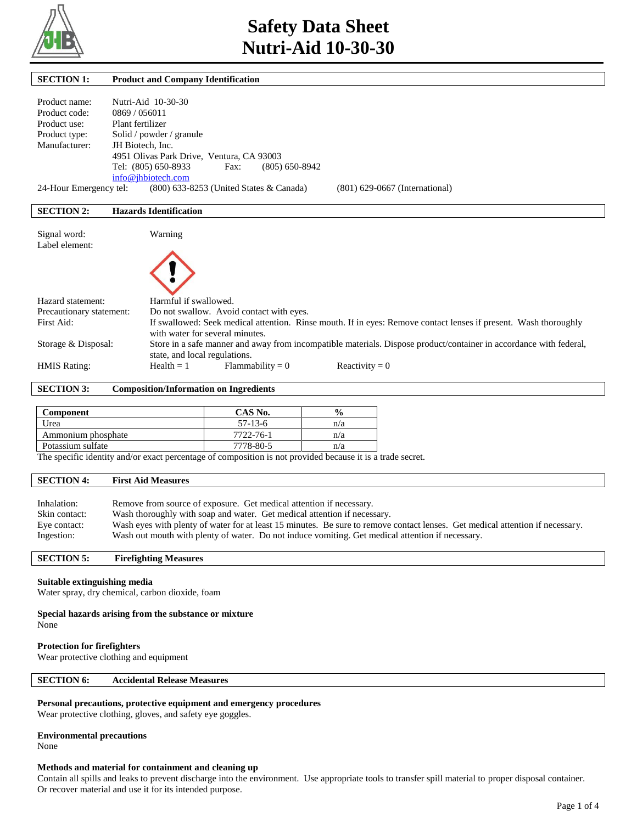

Г

| <b>SECTION 1:</b>        | <b>Product and Company Identification</b>                                                                          |
|--------------------------|--------------------------------------------------------------------------------------------------------------------|
| Product name:            | Nutri-Aid 10-30-30                                                                                                 |
| Product code:            | 0869/056011                                                                                                        |
| Product use:             | Plant fertilizer                                                                                                   |
| Product type:            | Solid / powder / granule                                                                                           |
| Manufacturer:            | JH Biotech, Inc.                                                                                                   |
|                          | 4951 Olivas Park Drive, Ventura, CA 93003                                                                          |
|                          | Tel: (805) 650-8933<br>$(805)$ 650-8942<br>Fax:                                                                    |
|                          | info@jhbiotech.com                                                                                                 |
| 24-Hour Emergency tel:   | (800) 633-8253 (United States & Canada)<br>$(801)$ 629-0667 (International)                                        |
|                          |                                                                                                                    |
| <b>SECTION 2:</b>        | <b>Hazards Identification</b>                                                                                      |
|                          |                                                                                                                    |
| Signal word:             | Warning                                                                                                            |
| Label element:           |                                                                                                                    |
|                          |                                                                                                                    |
|                          |                                                                                                                    |
|                          |                                                                                                                    |
|                          |                                                                                                                    |
| Hazard statement:        | Harmful if swallowed.                                                                                              |
| Precautionary statement: | Do not swallow. Avoid contact with eyes.                                                                           |
| First Aid:               | If swallowed: Seek medical attention. Rinse mouth. If in eyes: Remove contact lenses if present. Wash thoroughly   |
|                          | with water for several minutes.                                                                                    |
| Storage & Disposal:      | Store in a safe manner and away from incompatible materials. Dispose product/container in accordance with federal, |
|                          | state, and local regulations.                                                                                      |
| <b>HMIS Rating:</b>      | $Flammability = 0$<br>Reactivity = $0$<br>$Health = 1$                                                             |

**SECTION 3: Composition/Information on Ingredients**

| Component          | CAS No.   | $\frac{6}{6}$ |
|--------------------|-----------|---------------|
| Urea               | $57-13-6$ | n/a           |
| Ammonium phosphate | 7722-76-1 | n/a           |
| Potassium sulfate  | 7778-80-5 | n/a           |

The specific identity and/or exact percentage of composition is not provided because it is a trade secret.

#### **SECTION 4: First Aid Measures**

| Inhalation:   | Remove from source of exposure. Get medical attention if necessary.                                                           |
|---------------|-------------------------------------------------------------------------------------------------------------------------------|
| Skin contact: | Wash thoroughly with soap and water. Get medical attention if necessary.                                                      |
| Eye contact:  | Wash eyes with plenty of water for at least 15 minutes. Be sure to remove contact lenses. Get medical attention if necessary. |
| Ingestion:    | Wash out mouth with plenty of water. Do not induce vomiting. Get medical attention if necessary.                              |

## **SECTION 5: Firefighting Measures**

# **Suitable extinguishing media**

Water spray, dry chemical, carbon dioxide, foam

#### **Special hazards arising from the substance or mixture**

None

# **Protection for firefighters**

Wear protective clothing and equipment

# **SECTION 6: Accidental Release Measures**

**Personal precautions, protective equipment and emergency procedures**

Wear protective clothing, gloves, and safety eye goggles.

# **Environmental precautions**

None

# **Methods and material for containment and cleaning up**

Contain all spills and leaks to prevent discharge into the environment. Use appropriate tools to transfer spill material to proper disposal container. Or recover material and use it for its intended purpose.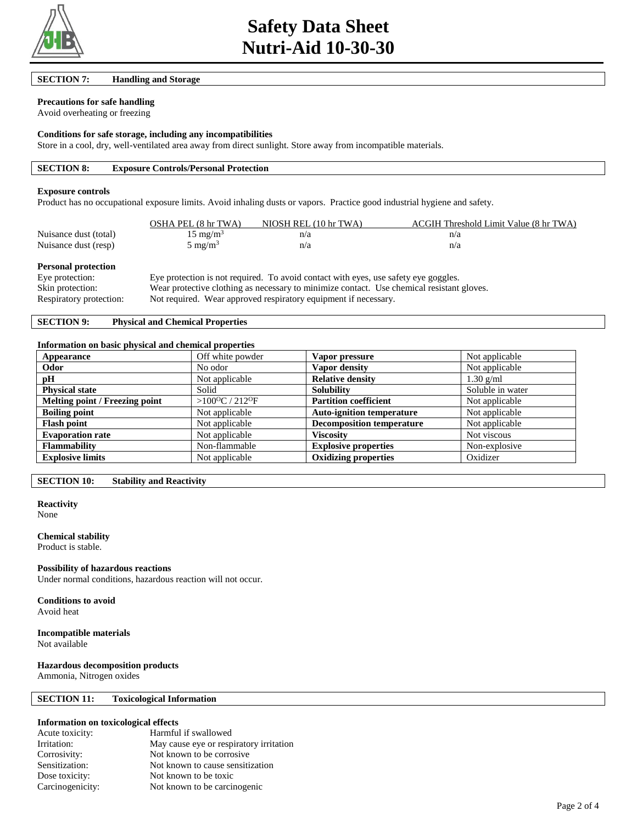

**SECTION 7: Handling and Storage** 

# **Precautions for safe handling**

Avoid overheating or freezing

#### **Conditions for safe storage, including any incompatibilities**

Store in a cool, dry, well-ventilated area away from direct sunlight. Store away from incompatible materials.

| <b>SECTION 8:</b><br><b>Exposure Controls/Personal Protection</b> |
|-------------------------------------------------------------------|
|-------------------------------------------------------------------|

#### **Exposure controls**

Product has no occupational exposure limits. Avoid inhaling dusts or vapors. Practice good industrial hygiene and safety.

|                       | OSHA PEL (8 hr TWA) | NIOSH REL (10 hr TWA) | ACGIH Threshold Limit Value (8 hr TWA) |
|-----------------------|---------------------|-----------------------|----------------------------------------|
| Nuisance dust (total) | $15 \text{ mg/m}^3$ | n/a                   | n/a                                    |
| Nuisance dust (resp)  | 5 mg/m <sup>3</sup> | n/a                   | n/a                                    |

# **Personal protection**

| Eye protection:         | Eye protection is not required. To avoid contact with eyes, use safety eye goggles.       |
|-------------------------|-------------------------------------------------------------------------------------------|
| Skin protection:        | Wear protective clothing as necessary to minimize contact. Use chemical resistant gloves. |
| Respiratory protection: | Not required. Wear approved respiratory equipment if necessary.                           |

# **SECTION 9: Physical and Chemical Properties**

#### **Information on basic physical and chemical properties**

| Appearance                     | Off white powder                       | Vapor pressure                   | Not applicable   |
|--------------------------------|----------------------------------------|----------------------------------|------------------|
| Odor                           | No odor                                | Vapor density                    | Not applicable   |
| pH                             | Not applicable                         | <b>Relative density</b>          | $1.30$ g/ml      |
| <b>Physical state</b>          | Solid                                  | <b>Solubility</b>                | Soluble in water |
| Melting point / Freezing point | > $100^{\circ}$ C / 212 <sup>o</sup> F | <b>Partition coefficient</b>     | Not applicable   |
| <b>Boiling point</b>           | Not applicable                         | <b>Auto-ignition temperature</b> | Not applicable   |
| <b>Flash point</b>             | Not applicable                         | <b>Decomposition temperature</b> | Not applicable   |
| <b>Evaporation rate</b>        | Not applicable                         | Viscositv                        | Not viscous      |
| <b>Flammability</b>            | Non-flammable                          | <b>Explosive properties</b>      | Non-explosive    |
| <b>Explosive limits</b>        | Not applicable                         | <b>Oxidizing properties</b>      | Oxidizer         |

**SECTION 10: Stability and Reactivity** 

# **Reactivity**

None

# **Chemical stability**

Product is stable.

# **Possibility of hazardous reactions**

Under normal conditions, hazardous reaction will not occur.

**Conditions to avoid** Avoid heat

# **Incompatible materials**

Not available

# **Hazardous decomposition products**

Ammonia, Nitrogen oxides

# **SECTION 11: Toxicological Information**

# **Information on toxicological effects**

| Acute toxicity:  | Harmful if swallowed                    |
|------------------|-----------------------------------------|
| Irritation:      | May cause eye or respiratory irritation |
| Corrosivity:     | Not known to be corrosive.              |
| Sensitization:   | Not known to cause sensitization        |
| Dose toxicity:   | Not known to be toxic                   |
| Carcinogenicity: | Not known to be carcinogenic            |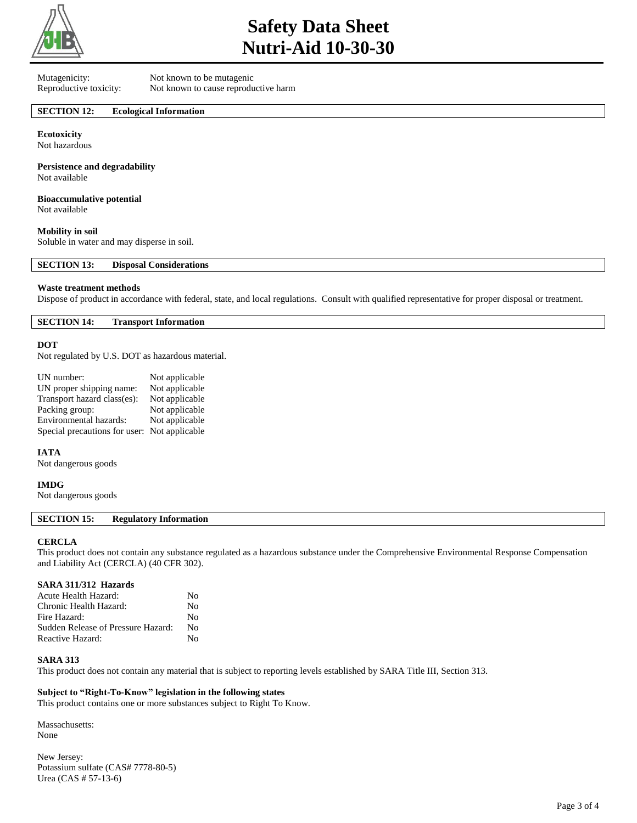

# **Safety Data Sheet Nutri-Aid 10-30-30**

Mutagenicity: Not known to be mutagenic

Reproductive toxicity: Not known to cause reproductive harm

# **SECTION 12: Ecological Information**

**Ecotoxicity** Not hazardous

**Persistence and degradability** Not available

**Bioaccumulative potential**

Not available

## **Mobility in soil**

Soluble in water and may disperse in soil.

**SECTION 13: Disposal Considerations** 

## **Waste treatment methods**

Dispose of product in accordance with federal, state, and local regulations. Consult with qualified representative for proper disposal or treatment.

**SECTION 14: Transport Information** 

## **DOT**

Not regulated by U.S. DOT as hazardous material.

| UN number:                    | Not applicable |
|-------------------------------|----------------|
| UN proper shipping name:      | Not applicable |
| Transport hazard class(es):   | Not applicable |
| Packing group:                | Not applicable |
| Environmental hazards:        | Not applicable |
| Special precautions for user: | Not applicable |

**IATA**

Not dangerous goods

## **IMDG**

Not dangerous goods

# **SECTION 15: Regulatory Information**

## **CERCLA**

This product does not contain any substance regulated as a hazardous substance under the Comprehensive Environmental Response Compensation and Liability Act (CERCLA) (40 CFR 302).

## **SARA 311/312 Hazards**

| Acute Health Hazard:               | No |
|------------------------------------|----|
| Chronic Health Hazard:             | No |
| Fire Hazard:                       | No |
| Sudden Release of Pressure Hazard: | No |
| Reactive Hazard:                   | No |

## **SARA 313**

This product does not contain any material that is subject to reporting levels established by SARA Title III, Section 313.

# **Subject to "Right-To-Know" legislation in the following states**

This product contains one or more substances subject to Right To Know.

Massachusetts: None

New Jersey: Potassium sulfate (CAS# 7778-80-5) Urea (CAS # 57-13-6)